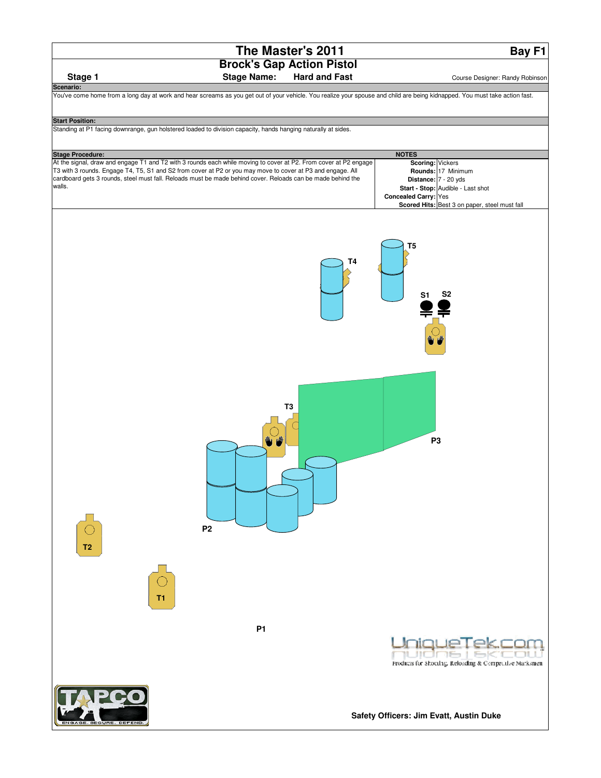**Bay F1**



| Stage 1                 | <b>Stage Name:</b>                                                                                                                                                          | <b>Hard and Fast</b> | Course Designer: Randy Robinson                         |
|-------------------------|-----------------------------------------------------------------------------------------------------------------------------------------------------------------------------|----------------------|---------------------------------------------------------|
| Scenario:               |                                                                                                                                                                             |                      |                                                         |
|                         | You've come home from a long day at work and hear screams as you get out of your vehicle. You realize your spouse and child are being kidnapped. You must take action fast. |                      |                                                         |
|                         |                                                                                                                                                                             |                      |                                                         |
|                         |                                                                                                                                                                             |                      |                                                         |
| <b>Start Position:</b>  |                                                                                                                                                                             |                      |                                                         |
|                         | Standing at P1 facing downrange, gun holstered loaded to division capacity, hands hanging naturally at sides.                                                               |                      |                                                         |
|                         |                                                                                                                                                                             |                      |                                                         |
|                         |                                                                                                                                                                             |                      |                                                         |
| <b>Stage Procedure:</b> |                                                                                                                                                                             |                      | <b>NOTES</b>                                            |
|                         | At the signal, draw and engage T1 and T2 with 3 rounds each while moving to cover at P2. From cover at P2 engage                                                            |                      | Scoring: Vickers                                        |
|                         | T3 with 3 rounds. Engage T4, T5, S1 and S2 from cover at P2 or you may move to cover at P3 and engage. All                                                                  |                      | Rounds: 17 Minimum                                      |
| walls.                  | cardboard gets 3 rounds, steel must fall. Reloads must be made behind cover. Reloads can be made behind the                                                                 |                      | Distance: 7 - 20 yds                                    |
|                         |                                                                                                                                                                             |                      | Start - Stop: Audible - Last shot                       |
|                         |                                                                                                                                                                             |                      | Concealed Carry: Yes                                    |
|                         |                                                                                                                                                                             |                      | Scored Hits: Best 3 on paper, steel must fall           |
|                         |                                                                                                                                                                             |                      |                                                         |
|                         |                                                                                                                                                                             |                      |                                                         |
|                         |                                                                                                                                                                             | T4                   | T <sub>5</sub><br>S <sub>2</sub><br>S <sub>1</sub>      |
|                         |                                                                                                                                                                             |                      |                                                         |
|                         |                                                                                                                                                                             |                      |                                                         |
|                         |                                                                                                                                                                             |                      |                                                         |
|                         |                                                                                                                                                                             |                      |                                                         |
|                         |                                                                                                                                                                             |                      |                                                         |
|                         |                                                                                                                                                                             |                      |                                                         |
|                         |                                                                                                                                                                             |                      |                                                         |
|                         |                                                                                                                                                                             |                      |                                                         |
|                         |                                                                                                                                                                             |                      |                                                         |
|                         |                                                                                                                                                                             |                      |                                                         |
|                         |                                                                                                                                                                             |                      |                                                         |
|                         |                                                                                                                                                                             |                      |                                                         |
|                         |                                                                                                                                                                             | T <sub>3</sub>       |                                                         |
|                         |                                                                                                                                                                             |                      |                                                         |
|                         |                                                                                                                                                                             |                      |                                                         |
|                         |                                                                                                                                                                             |                      |                                                         |
|                         |                                                                                                                                                                             |                      | P <sub>3</sub>                                          |
|                         |                                                                                                                                                                             |                      |                                                         |
|                         |                                                                                                                                                                             |                      |                                                         |
|                         |                                                                                                                                                                             |                      |                                                         |
|                         |                                                                                                                                                                             |                      |                                                         |
|                         |                                                                                                                                                                             |                      |                                                         |
|                         |                                                                                                                                                                             |                      |                                                         |
|                         |                                                                                                                                                                             |                      |                                                         |
|                         |                                                                                                                                                                             |                      |                                                         |
|                         |                                                                                                                                                                             |                      |                                                         |
|                         | P <sub>2</sub>                                                                                                                                                              |                      |                                                         |
|                         |                                                                                                                                                                             |                      |                                                         |
| T <sub>2</sub>          |                                                                                                                                                                             |                      |                                                         |
|                         |                                                                                                                                                                             |                      |                                                         |
|                         |                                                                                                                                                                             |                      |                                                         |
|                         |                                                                                                                                                                             |                      |                                                         |
|                         |                                                                                                                                                                             |                      |                                                         |
|                         |                                                                                                                                                                             |                      |                                                         |
|                         | Τ1                                                                                                                                                                          |                      |                                                         |
|                         |                                                                                                                                                                             |                      |                                                         |
|                         |                                                                                                                                                                             |                      |                                                         |
|                         | <b>P1</b>                                                                                                                                                                   |                      |                                                         |
|                         |                                                                                                                                                                             |                      |                                                         |
|                         |                                                                                                                                                                             |                      |                                                         |
|                         |                                                                                                                                                                             |                      |                                                         |
|                         |                                                                                                                                                                             |                      | Freducis for Shocting, Reloading & Competitive Marksmen |
|                         |                                                                                                                                                                             |                      |                                                         |
|                         |                                                                                                                                                                             |                      |                                                         |
|                         |                                                                                                                                                                             |                      |                                                         |
|                         |                                                                                                                                                                             |                      |                                                         |
|                         |                                                                                                                                                                             |                      |                                                         |
|                         |                                                                                                                                                                             |                      | Safety Officers: Jim Evatt, Austin Duke                 |
|                         | 3E. SECURE. DEFEND.                                                                                                                                                         |                      |                                                         |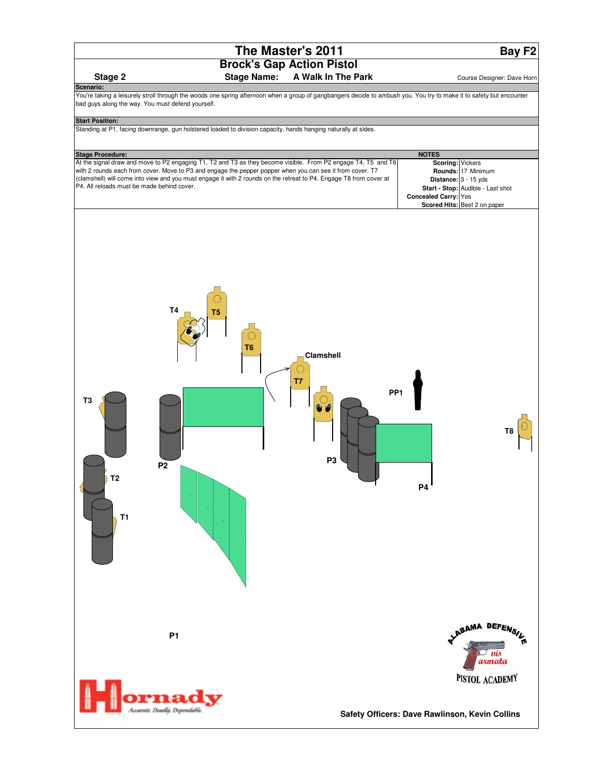**Scenario:**

**Bay F2**

# **Stage 2** Stage Name: A Walk In The Park **Course Designer: Dave Horn**

You're taking a leisurely stroll through the woods one spring afternoon when a group of gangbangers decide to ambush you. You try to make it to safety but encounter bad guys along the way. You must defend yourself.

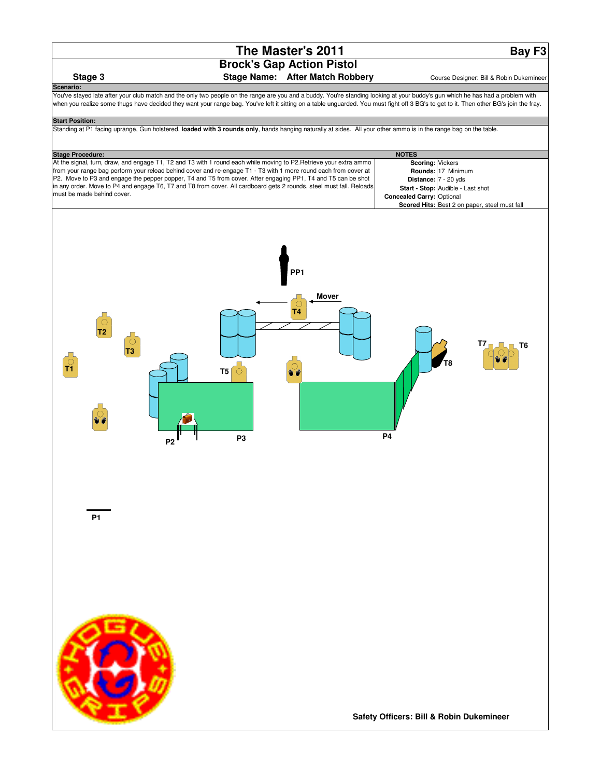**Bay F3**

### **Stage 3** Stage Name: After Match Robbery **Course Designer: Bill & Robin Dukemineer**

You've stayed late after your club match and the only two people on the range are you and a buddy. You're standing looking at your buddy's gun which he has had a problem with when you realize some thugs have decided they want your range bag. You've left it sitting on a table unguarded. You must fight off 3 BG's to get to it. Then other BG's join the fray.

#### **Start Position:**

**Scenario:**

Standing at P1 facing uprange, Gun holstered, **loaded with 3 rounds only**, hands hanging naturally at sides. All your other ammo is in the range bag on the table.

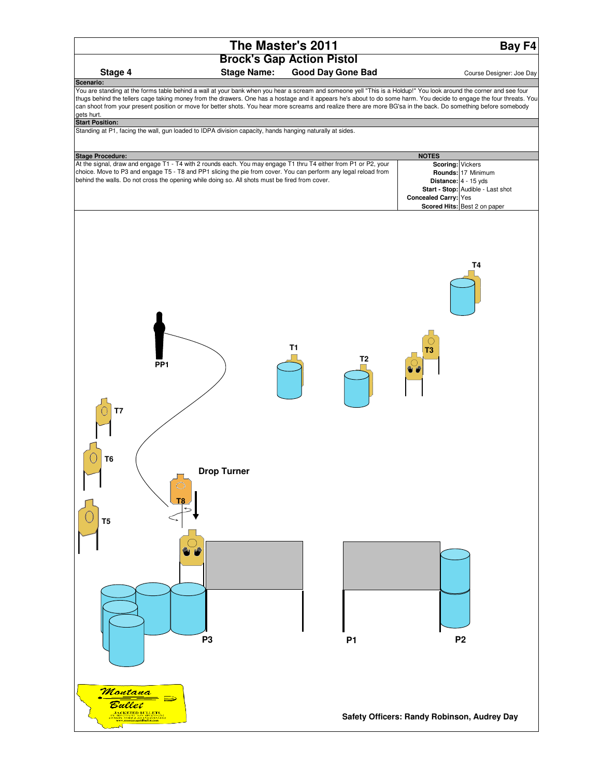

**Bay F4**

# **Brock's Gap Action Pistol**

#### **Stage 4** Stage Name: Good Day Gone Bad **Course Designer: Joe Day**

You are standing at the forms table behind a wall at your bank when you hear a scream and someone yell "This is a Holdup!" You look around the corner and see four thugs behind the tellers cage taking money from the drawers. One has a hostage and it appears he's about to do some harm. You decide to engage the four threats. You can shoot from your present position or move for better shots. You hear more screams and realize there are more BG'sa in the back. Do something before somebody gets hurt. **Scenario:**

#### **Start Position:**

Standing at P1, facing the wall, gun loaded to IDPA division capacity, hands hanging naturally at sides.

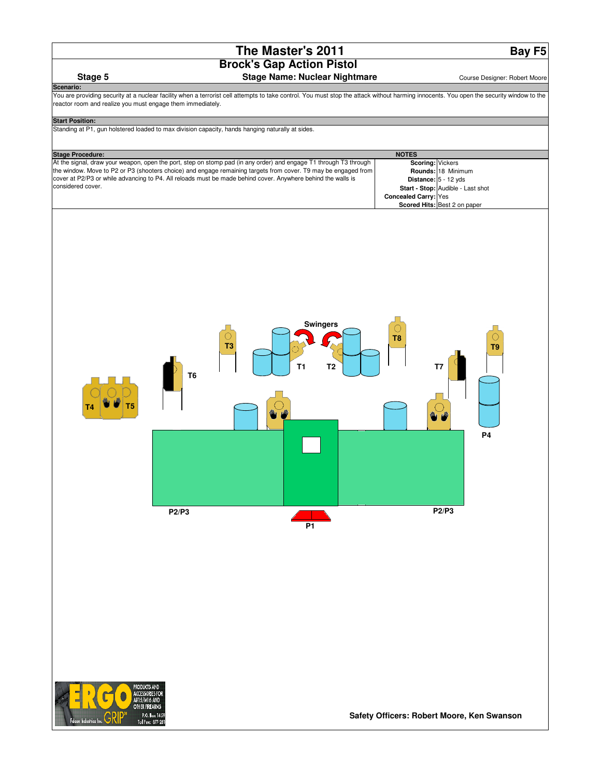**Bay F5**

# **Stage 5** Stage Name: Nuclear Nightmare **Stage Stage Stage Stage Stage Stage Stage Stage Stage Stage Stage Stage Stage Stage Stage Stage Stage Stage Stage Stage Stage Stage Stage Stage Stage Stage Stage Stage Stage Stage S**

You are providing security at a nuclear facility when a terrorist cell attempts to take control. You must stop the attack without harming innocents. You open the security window to the n and realize you must engage them immediately.

| o joa maot ongago thom minno                                                                     |                                                                                                                   |                                  |                                            |
|--------------------------------------------------------------------------------------------------|-------------------------------------------------------------------------------------------------------------------|----------------------------------|--------------------------------------------|
| <b>Start Position:</b>                                                                           |                                                                                                                   |                                  |                                            |
| Standing at P1, gun holstered loaded to max division capacity, hands hanging naturally at sides. |                                                                                                                   |                                  |                                            |
|                                                                                                  |                                                                                                                   |                                  |                                            |
|                                                                                                  |                                                                                                                   |                                  |                                            |
| <b>Stage Procedure:</b>                                                                          | At the signal, draw your weapon, open the port, step on stomp pad (in any order) and engage T1 through T3 through | <b>NOTES</b><br>Scoring: Vickers |                                            |
|                                                                                                  | the window. Move to P2 or P3 (shooters choice) and engage remaining targets from cover. T9 may be engaged from    |                                  | Rounds: 18 Minimum                         |
|                                                                                                  | cover at P2/P3 or while advancing to P4. All reloads must be made behind cover. Anywhere behind the walls is      |                                  | Distance: 5 - 12 yds                       |
| considered cover.                                                                                |                                                                                                                   |                                  | Start - Stop: Audible - Last shot          |
|                                                                                                  |                                                                                                                   | <b>Concealed Carry: Yes</b>      |                                            |
|                                                                                                  |                                                                                                                   |                                  | Scored Hits: Best 2 on paper               |
| T5<br>P2/P3                                                                                      | <b>Swingers</b><br>○<br>T <sub>3</sub><br>T1<br>T <sub>2</sub><br>T <sub>6</sub><br><b>P1</b>                     | O<br>T8                          | T <sub>9</sub><br>T7<br><b>P4</b><br>P2/P3 |



**Scenario:**

**Safety Officers: Robert Moore, Ken Swanson**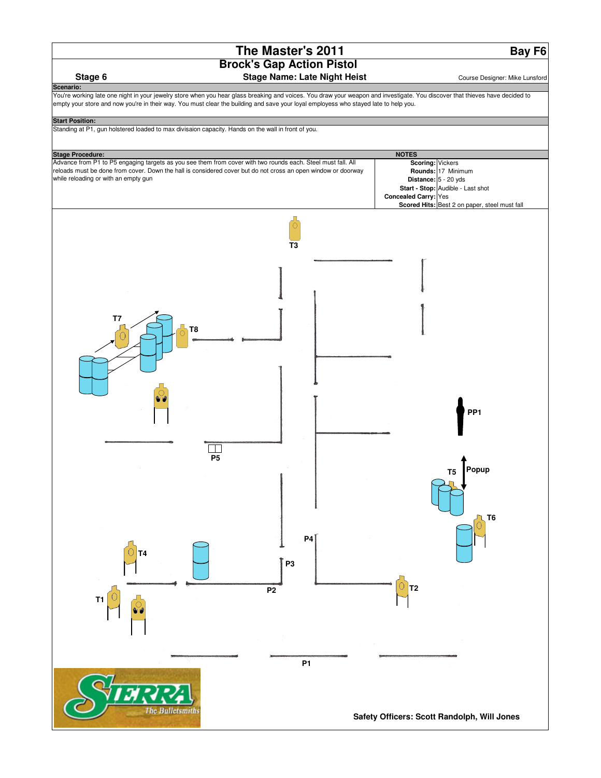**Bay F6**

#### **Stage 6** Stage Name: Late Night Heist **Stage Stage Stage Stage In Allection** Course Designer: Mike Lunsford

You're working late one night in your jewelry store when you hear glass breaking and voices. You draw your weapon and investigate. You discover that thieves have decided to empty your store and now you're in their way. You must clear the building and save your loyal employess who stayed late to help you.

**Scenario:**

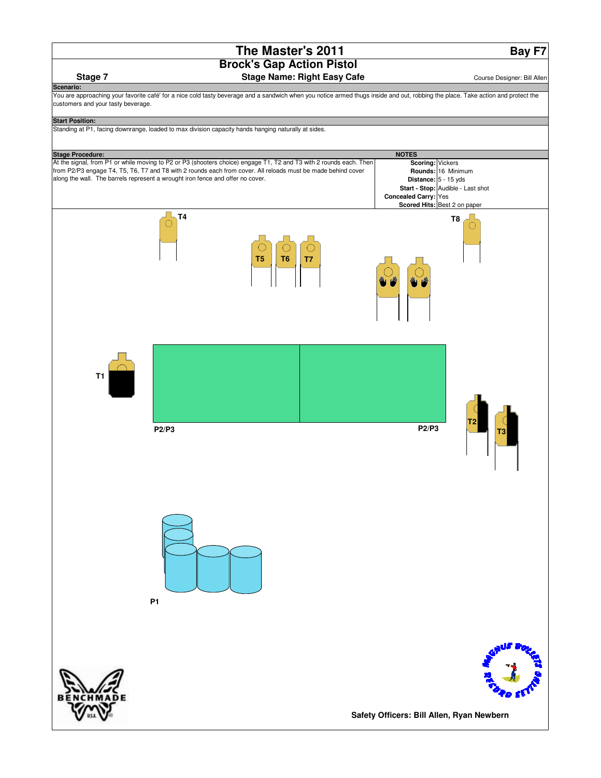**Bay F7**

**T3**

**T2**

You are approaching your favorite café' for a nice cold tasty beverage and a sandwich when you notice armed thugs inside and out, robbing the place. Take action and protect the customers and your tasty beverage.

# **Scoring:** Vickers **Rounds:** 16 Minimum **Distance:** 5 - 15 yds **Start - Stop:** Audible - Last shot **Concealed Carry:** Yes **Scored Hits:** Best 2 on paper **Start Position:** Standing at P1, facing downrange, loaded to max division capacity hands hanging naturally at sides. **Stage 7** Stage Name: Right Easy Cafe **Stage 7** Course Designer: Bill Allen **Scenario: Stage Procedure:** NOTES At the signal, from P1 or while moving to P2 or P3 (shooters choice) engage T1, T2 and T3 with 2 rounds each. Then from P2/P3 engage T4, T5, T6, T7 and T8 with 2 rounds each from cover. All reloads must be made behind cover along the wall. The barrels represent a wrought iron fence and offer no cover. **T1 T4 T5 T6 T7 T8 P1 P2/P3 P2/P3**



**Safety Officers: Bill Allen, Ryan Newbern**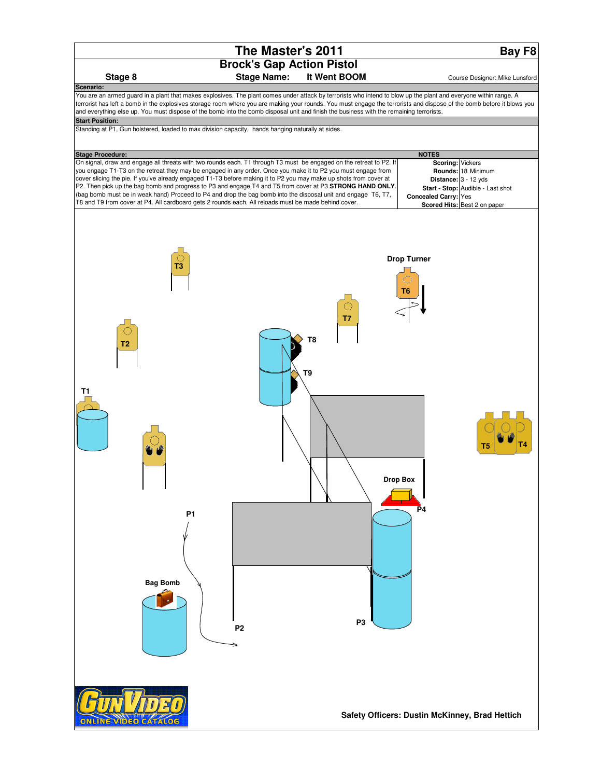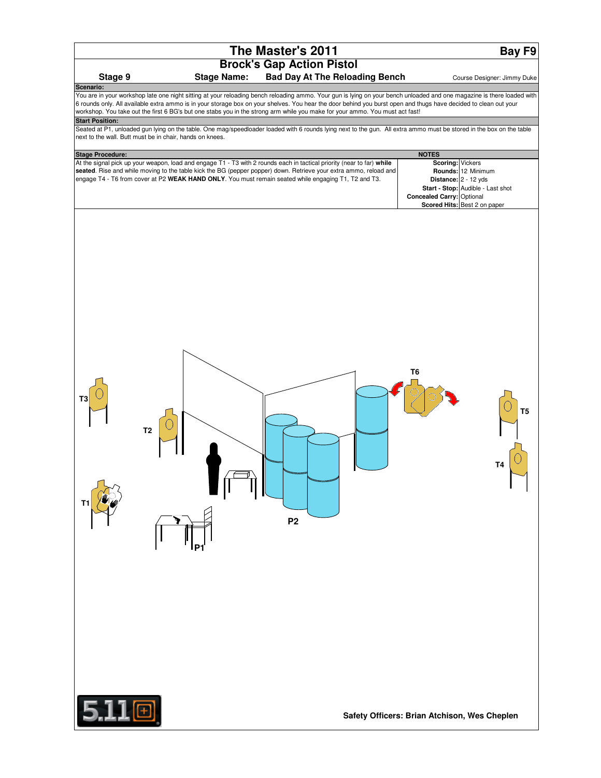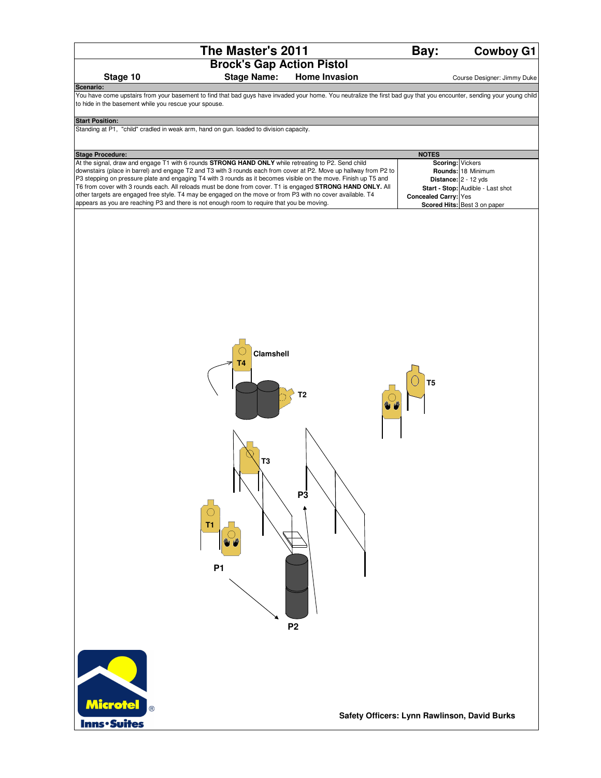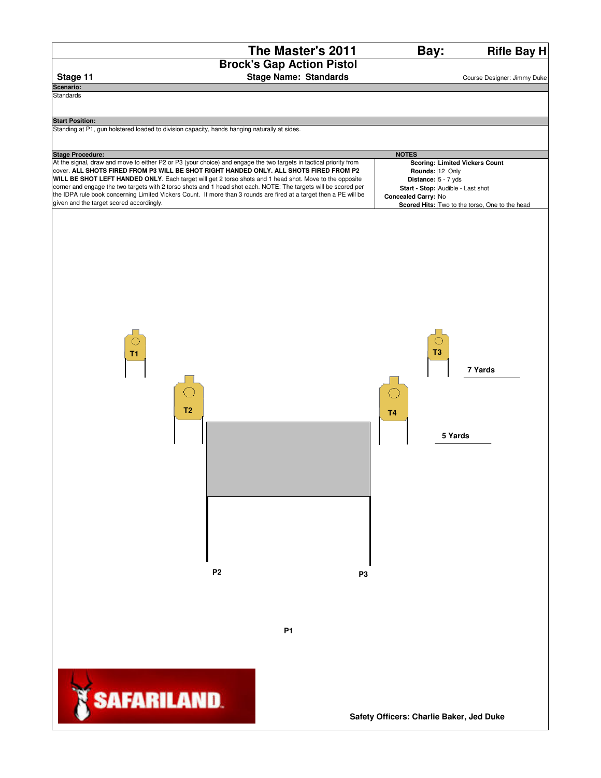**Rifle Bay H**



**Scenario:**

**Standards** 

**Stage 11** Stage Name: Standards **Course Designer: Jimmy Duke** 

#### **Start Position:**